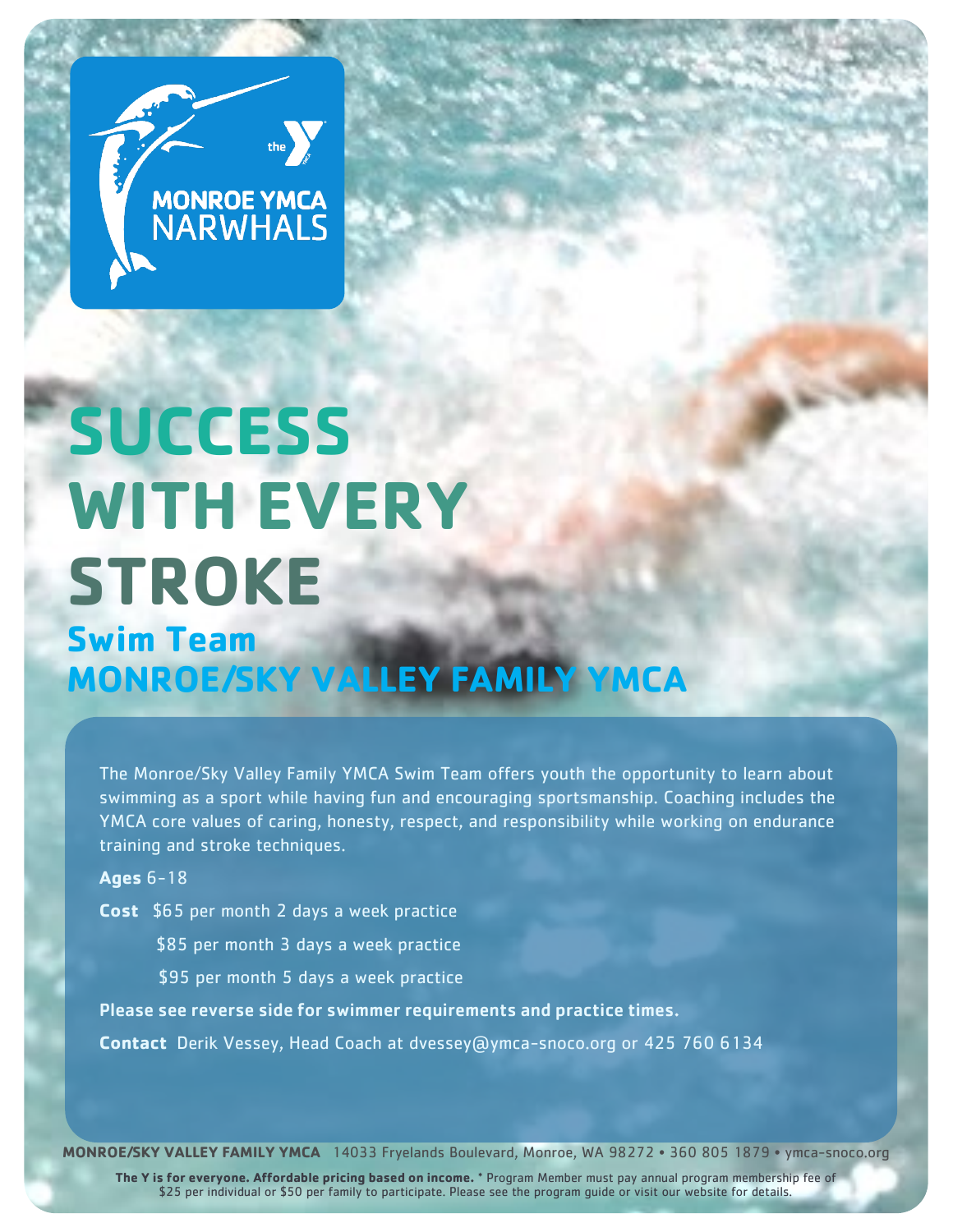

# **SUCCESS WITH EVERY STROKE**

# **Swim Team MONROE/SKY VALLEY FAMILY YMCA**

The Monroe/Sky Valley Family YMCA Swim Team offers youth the opportunity to learn about swimming as a sport while having fun and encouraging sportsmanship. Coaching includes the YMCA core values of caring, honesty, respect, and responsibility while working on endurance training and stroke techniques.

**Ages** 6-18

**Cost** \$65 per month 2 days a week practice

\$85 per month 3 days a week practice

\$95 per month 5 days a week practice

Please see reverse side for swimmer requirements and practice times.

**Contact** Derik Vessey, Head Coach at dvessey@ymca-snoco.org or 425 760 6134

**MONROE/SKY VALLEY FAMILY YMCA** 14033 Fryelands Boulevard, Monroe, WA 98272 • 360 805 1879 • ymca-snoco.org